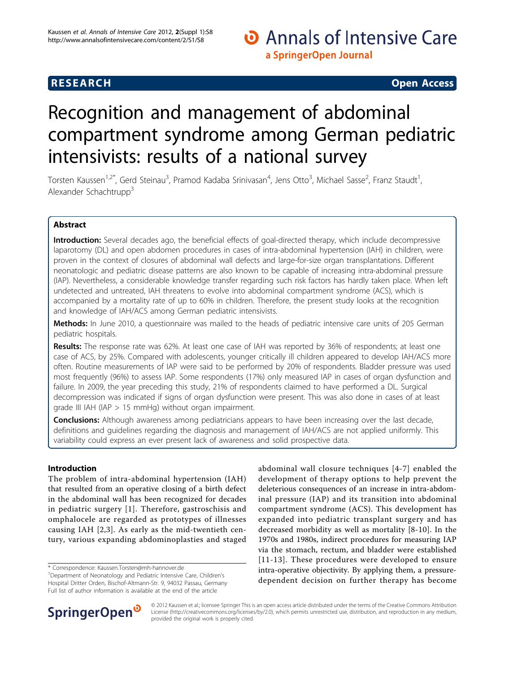## O Annals of Intensive Care a SpringerOpen Journal

### **RESEARCH CONTROL** RESEARCH COMMUNISMENT CONTROL CONTROL CONTROL CONTROL CONTROL CONTROL CONTROL CONTROL CONTROL CONTROL CONTROL CONTROL CONTROL CONTROL CONTROL CONTROL CONTROL CONTROL CONTROL CONTROL CONTROL CONTROL CONTR

# Recognition and management of abdominal compartment syndrome among German pediatric intensivists: results of a national survey

Torsten Kaussen<sup>1,2\*</sup>, Gerd Steinau<sup>3</sup>, Pramod Kadaba Srinivasan<sup>4</sup>, Jens Otto<sup>3</sup>, Michael Sasse<sup>2</sup>, Franz Staudt<sup>1</sup> , Alexander Schachtrupp<sup>3</sup>

#### Abstract

Introduction: Several decades ago, the beneficial effects of goal-directed therapy, which include decompressive laparotomy (DL) and open abdomen procedures in cases of intra-abdominal hypertension (IAH) in children, were proven in the context of closures of abdominal wall defects and large-for-size organ transplantations. Different neonatologic and pediatric disease patterns are also known to be capable of increasing intra-abdominal pressure (IAP). Nevertheless, a considerable knowledge transfer regarding such risk factors has hardly taken place. When left undetected and untreated, IAH threatens to evolve into abdominal compartment syndrome (ACS), which is accompanied by a mortality rate of up to 60% in children. Therefore, the present study looks at the recognition and knowledge of IAH/ACS among German pediatric intensivists.

Methods: In June 2010, a questionnaire was mailed to the heads of pediatric intensive care units of 205 German pediatric hospitals.

Results: The response rate was 62%. At least one case of IAH was reported by 36% of respondents; at least one case of ACS, by 25%. Compared with adolescents, younger critically ill children appeared to develop IAH/ACS more often. Routine measurements of IAP were said to be performed by 20% of respondents. Bladder pressure was used most frequently (96%) to assess IAP. Some respondents (17%) only measured IAP in cases of organ dysfunction and failure. In 2009, the year preceding this study, 21% of respondents claimed to have performed a DL. Surgical decompression was indicated if signs of organ dysfunction were present. This was also done in cases of at least grade III IAH (IAP > 15 mmHg) without organ impairment.

**Conclusions:** Although awareness among pediatricians appears to have been increasing over the last decade, definitions and guidelines regarding the diagnosis and management of IAH/ACS are not applied uniformly. This variability could express an ever present lack of awareness and solid prospective data.

#### Introduction

The problem of intra-abdominal hypertension (IAH) that resulted from an operative closing of a birth defect in the abdominal wall has been recognized for decades in pediatric surgery [[1](#page-9-0)]. Therefore, gastroschisis and omphalocele are regarded as prototypes of illnesses causing IAH [[2,3](#page-9-0)]. As early as the mid-twentieth century, various expanding abdominoplasties and staged

\* Correspondence: [Kaussen.Torsten@mh-hannover.de](mailto:Kaussen.Torsten@mh-hannover.de)

abdominal wall closure techniques [[4](#page-9-0)-[7](#page-9-0)] enabled the development of therapy options to help prevent the deleterious consequences of an increase in intra-abdominal pressure (IAP) and its transition into abdominal compartment syndrome (ACS). This development has expanded into pediatric transplant surgery and has decreased morbidity as well as mortality [[8-10\]](#page-9-0). In the 1970s and 1980s, indirect procedures for measuring IAP via the stomach, rectum, and bladder were established [[11-](#page-9-0)[13](#page-10-0)]. These procedures were developed to ensure intra-operative objectivity. By applying them, a pressuredependent decision on further therapy has become



© 2012 Kaussen et al.; licensee Springer This is an open access article distributed under the terms of the Creative Commons Attribution License [\(http://creativecommons.org/licenses/by/2.0](http://creativecommons.org/licenses/by/2.0)), which permits unrestricted use, distribution, and reproduction in any medium, provided the original work is properly cited.

<sup>&</sup>lt;sup>1</sup>Department of Neonatology and Pediatric Intensive Care, Children's Hospital Dritter Orden, Bischof-Altmann-Str. 9, 94032 Passau, Germany Full list of author information is available at the end of the article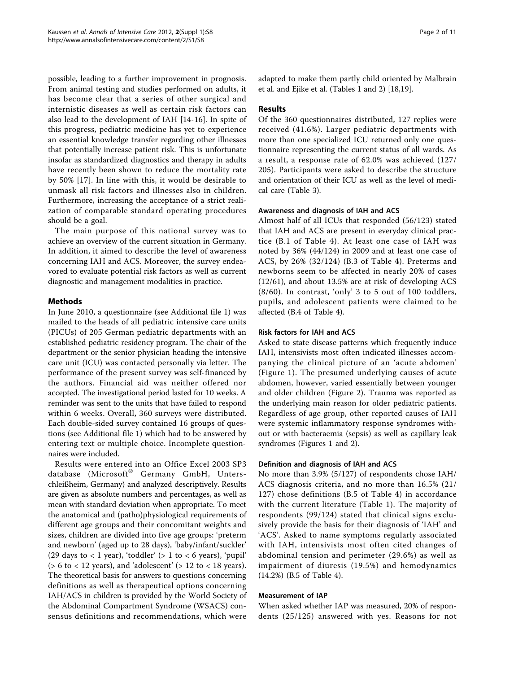possible, leading to a further improvement in prognosis. From animal testing and studies performed on adults, it has become clear that a series of other surgical and internistic diseases as well as certain risk factors can also lead to the development of IAH [[14-16](#page-10-0)]. In spite of this progress, pediatric medicine has yet to experience an essential knowledge transfer regarding other illnesses that potentially increase patient risk. This is unfortunate insofar as standardized diagnostics and therapy in adults have recently been shown to reduce the mortality rate by 50% [[17](#page-10-0)]. In line with this, it would be desirable to unmask all risk factors and illnesses also in children. Furthermore, increasing the acceptance of a strict realization of comparable standard operating procedures should be a goal.

The main purpose of this national survey was to achieve an overview of the current situation in Germany. In addition, it aimed to describe the level of awareness concerning IAH and ACS. Moreover, the survey endeavored to evaluate potential risk factors as well as current diagnostic and management modalities in practice.

#### Methods

In June 2010, a questionnaire (see Additional file [1](#page-9-0)) was mailed to the heads of all pediatric intensive care units (PICUs) of 205 German pediatric departments with an established pediatric residency program. The chair of the department or the senior physician heading the intensive care unit (ICU) was contacted personally via letter. The performance of the present survey was self-financed by the authors. Financial aid was neither offered nor accepted. The investigational period lasted for 10 weeks. A reminder was sent to the units that have failed to respond within 6 weeks. Overall, 360 surveys were distributed. Each double-sided survey contained 16 groups of questions (see Additional file [1\)](#page-9-0) which had to be answered by entering text or multiple choice. Incomplete questionnaires were included.

Results were entered into an Office Excel 2003 SP3 database (Microsoft® Germany GmbH, Unterschleißheim, Germany) and analyzed descriptively. Results are given as absolute numbers and percentages, as well as mean with standard deviation when appropriate. To meet the anatomical and (patho)physiological requirements of different age groups and their concomitant weights and sizes, children are divided into five age groups: 'preterm and newborn' (aged up to 28 days), 'baby/infant/suckler' (29 days to  $<$  1 year), 'toddler' ( $>$  1 to  $<$  6 years), 'pupil' ( $> 6$  to  $< 12$  years), and 'adolescent' ( $> 12$  to  $< 18$  years). The theoretical basis for answers to questions concerning definitions as well as therapeutical options concerning IAH/ACS in children is provided by the World Society of the Abdominal Compartment Syndrome (WSACS) consensus definitions and recommendations, which were

adapted to make them partly child oriented by Malbrain et al. and Ejike et al. (Tables [1](#page-2-0) and [2\)](#page-2-0) [[18](#page-10-0),[19](#page-10-0)].

#### Results

Of the 360 questionnaires distributed, 127 replies were received (41.6%). Larger pediatric departments with more than one specialized ICU returned only one questionnaire representing the current status of all wards. As a result, a response rate of 62.0% was achieved (127/ 205). Participants were asked to describe the structure and orientation of their ICU as well as the level of medical care (Table [3](#page-3-0)).

#### Awareness and diagnosis of IAH and ACS

Almost half of all ICUs that responded (56/123) stated that IAH and ACS are present in everyday clinical practice (B.1 of Table [4](#page-3-0)). At least one case of IAH was noted by 36% (44/124) in 2009 and at least one case of ACS, by 26% (32/124) (B.3 of Table [4](#page-3-0)). Preterms and newborns seem to be affected in nearly 20% of cases (12/61), and about 13.5% are at risk of developing ACS (8/60). In contrast, 'only' 3 to 5 out of 100 toddlers, pupils, and adolescent patients were claimed to be affected (B.4 of Table [4\)](#page-3-0).

#### Risk factors for IAH and ACS

Asked to state disease patterns which frequently induce IAH, intensivists most often indicated illnesses accompanying the clinical picture of an 'acute abdomen' (Figure [1\)](#page-5-0). The presumed underlying causes of acute abdomen, however, varied essentially between younger and older children (Figure [2\)](#page-6-0). Trauma was reported as the underlying main reason for older pediatric patients. Regardless of age group, other reported causes of IAH were systemic inflammatory response syndromes without or with bacteraemia (sepsis) as well as capillary leak syndromes (Figures [1](#page-5-0) and [2\)](#page-6-0).

#### Definition and diagnosis of IAH and ACS

No more than 3.9% (5/127) of respondents chose IAH/ ACS diagnosis criteria, and no more than 16.5% (21/ 127) chose definitions (B.5 of Table [4](#page-3-0)) in accordance with the current literature (Table [1](#page-2-0)). The majority of respondents (99/124) stated that clinical signs exclusively provide the basis for their diagnosis of 'IAH' and 'ACS'. Asked to name symptoms regularly associated with IAH, intensivists most often cited changes of abdominal tension and perimeter (29.6%) as well as impairment of diuresis (19.5%) and hemodynamics (14.2%) (B.5 of Table [4](#page-3-0)).

#### Measurement of IAP

When asked whether IAP was measured, 20% of respondents (25/125) answered with yes. Reasons for not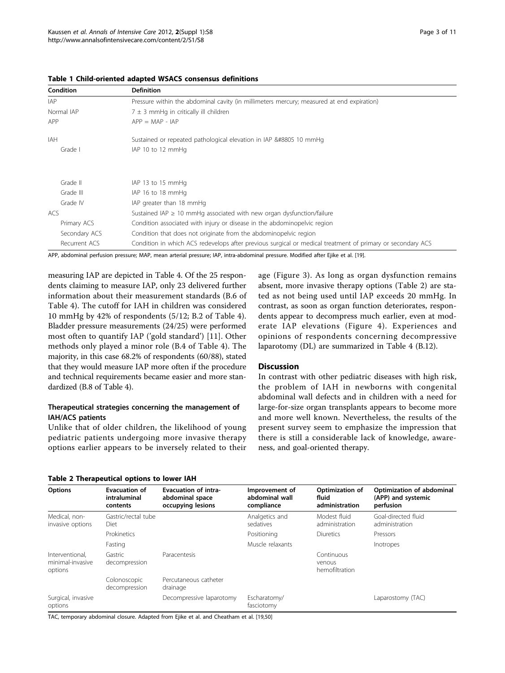| Condition                                                                                               | <b>Definition</b>                                                                                          |
|---------------------------------------------------------------------------------------------------------|------------------------------------------------------------------------------------------------------------|
| <b>IAP</b><br>Pressure within the abdominal cavity (in millimeters mercury; measured at end expiration) |                                                                                                            |
| $7 \pm 3$ mmHq in critically ill children<br>Normal IAP                                                 |                                                                                                            |
| APP                                                                                                     | $APP = MAP - IAP$                                                                                          |
| IAH                                                                                                     | Sustained or repeated pathological elevation in IAP ≥ 10 mmHg                                              |
| Grade I                                                                                                 | IAP 10 to 12 mmHg                                                                                          |
|                                                                                                         |                                                                                                            |
| Grade II                                                                                                | IAP 13 to 15 mmHg                                                                                          |
| Grade III                                                                                               | IAP 16 to 18 mmHg                                                                                          |
| Grade IV                                                                                                | IAP greater than 18 mmHg                                                                                   |
| ACS                                                                                                     | Sustained IAP $\geq$ 10 mmHg associated with new organ dysfunction/failure                                 |
| Primary ACS                                                                                             | Condition associated with injury or disease in the abdominopelvic region                                   |
| Secondary ACS                                                                                           | Condition that does not originate from the abdominopelvic region                                           |
| Recurrent ACS                                                                                           | Condition in which ACS redevelops after previous surgical or medical treatment of primary or secondary ACS |

#### <span id="page-2-0"></span>Table 1 Child-oriented adapted WSACS consensus definitions

APP, abdominal perfusion pressure; MAP, mean arterial pressure; IAP, intra-abdominal pressure. Modified after Ejike et al. [[19\]](#page-10-0).

measuring IAP are depicted in Table [4](#page-3-0). Of the 25 respondents claiming to measure IAP, only 23 delivered further information about their measurement standards (B.6 of Table [4](#page-3-0)). The cutoff for IAH in children was considered 10 mmHg by 42% of respondents (5/12; B.2 of Table [4](#page-3-0)). Bladder pressure measurements (24/25) were performed most often to quantify IAP ('gold standard') [\[11](#page-9-0)]. Other methods only played a minor role (B.4 of Table [4](#page-3-0)). The majority, in this case 68.2% of respondents (60/88), stated that they would measure IAP more often if the procedure and technical requirements became easier and more standardized (B.8 of Table [4](#page-3-0)).

#### Therapeutical strategies concerning the management of IAH/ACS patients

Unlike that of older children, the likelihood of young pediatric patients undergoing more invasive therapy options earlier appears to be inversely related to their

Table 2 Therapeutical options to lower IAH

age (Figure [3](#page-7-0)). As long as organ dysfunction remains absent, more invasive therapy options (Table 2) are stated as not being used until IAP exceeds 20 mmHg. In contrast, as soon as organ function deteriorates, respondents appear to decompress much earlier, even at moderate IAP elevations (Figure [4\)](#page-7-0). Experiences and opinions of respondents concerning decompressive laparotomy (DL) are summarized in Table [4](#page-3-0) (B.12).

#### Discussion

In contrast with other pediatric diseases with high risk, the problem of IAH in newborns with congenital abdominal wall defects and in children with a need for large-for-size organ transplants appears to become more and more well known. Nevertheless, the results of the present survey seem to emphasize the impression that there is still a considerable lack of knowledge, awareness, and goal-oriented therapy.

| <b>Options</b>                                 | <b>Evacuation of</b><br>intraluminal<br>contents | <b>Evacuation of intra-</b><br>abdominal space<br>occupying lesions | Improvement of<br>abdominal wall<br>compliance | Optimization of<br>fluid<br>administration | Optimization of abdominal<br>(APP) and systemic<br>perfusion |
|------------------------------------------------|--------------------------------------------------|---------------------------------------------------------------------|------------------------------------------------|--------------------------------------------|--------------------------------------------------------------|
| Medical, non-<br>invasive options              | Gastric/rectal tube<br>Diet                      |                                                                     | Analgetics and<br>sedatives                    | Modest fluid<br>administration             | Goal-directed fluid<br>administration                        |
|                                                | Prokinetics                                      |                                                                     | Positioning                                    | Diuretics                                  | Pressors                                                     |
|                                                | Fasting                                          |                                                                     | Muscle relaxants                               |                                            | Inotropes                                                    |
| Interventional.<br>minimal-invasive<br>options | Gastric<br>decompression                         | Paracentesis                                                        |                                                | Continuous<br>venous<br>hemofiltration     |                                                              |
|                                                | Colonoscopic<br>decompression                    | Percutaneous catheter<br>drainage                                   |                                                |                                            |                                                              |
| Surgical, invasive<br>options                  |                                                  | Decompressive laparotomy                                            | Escharatomy/<br>fasciotomy                     |                                            | Laparostomy (TAC)                                            |

TAC, temporary abdominal closure. Adapted from Ejike et al. and Cheatham et al. [[19,50\]](#page-10-0)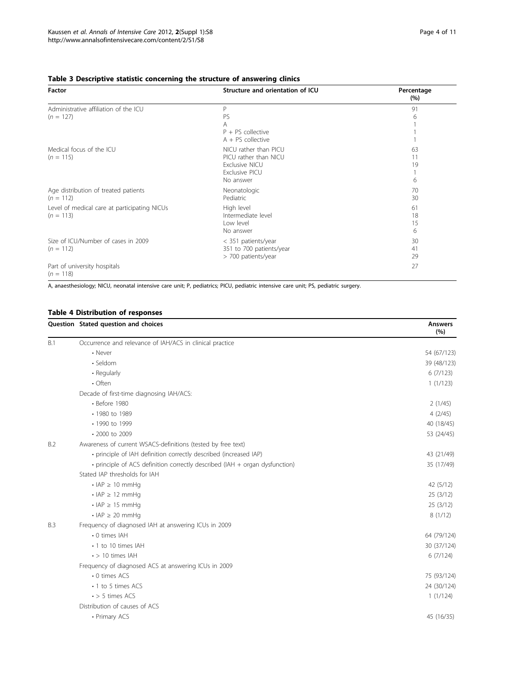<span id="page-3-0"></span>

| Table 3 Descriptive statistic concerning the structure of answering clinics |  |  |  |  |  |  |
|-----------------------------------------------------------------------------|--|--|--|--|--|--|
|-----------------------------------------------------------------------------|--|--|--|--|--|--|

| Factor                                                      | Structure and orientation of ICU                                                                                              | Percentage<br>(%)   |
|-------------------------------------------------------------|-------------------------------------------------------------------------------------------------------------------------------|---------------------|
| Administrative affiliation of the ICU<br>$(n = 127)$        | P<br>PS<br>A<br>$P + PS$ collective                                                                                           | 91<br>6             |
| Medical focus of the ICU<br>$(n = 115)$                     | $A + PS$ collective<br>NICU rather than PICU<br>PICU rather than NICU<br><b>Exclusive NICU</b><br>Exclusive PICU<br>No answer | 63<br>11<br>19<br>6 |
| Age distribution of treated patients<br>$(n = 112)$         | Neonatologic<br>Pediatric                                                                                                     | 70<br>30            |
| Level of medical care at participating NICUs<br>$(n = 113)$ | High level<br>Intermediate level<br>Low level<br>No answer                                                                    | 61<br>18<br>15<br>6 |
| Size of ICU/Number of cases in 2009<br>$(n = 112)$          | < 351 patients/year<br>351 to 700 patients/year<br>> 700 patients/year                                                        | 30<br>41<br>29      |
| Part of university hospitals<br>$(n = 118)$                 |                                                                                                                               | 27                  |

A, anaesthesiology; NICU, neonatal intensive care unit; P, pediatrics; PICU, pediatric intensive care unit; PS, pediatric surgery.

#### Table 4 Distribution of responses

|     | Question Stated question and choices                                        | Answers<br>(%) |
|-----|-----------------------------------------------------------------------------|----------------|
| B.1 | Occurrence and relevance of IAH/ACS in clinical practice                    |                |
|     | • Never                                                                     | 54 (67/123)    |
|     | · Seldom                                                                    | 39 (48/123)    |
|     | • Regularly                                                                 | 6(7/123)       |
|     | $\cdot$ Often                                                               | 1(1/123)       |
|     | Decade of first-time diagnosing IAH/ACS:                                    |                |
|     | • Before 1980                                                               | 2(1/45)        |
|     | • 1980 to 1989                                                              | 4(2/45)        |
|     | • 1990 to 1999                                                              | 40 (18/45)     |
|     | • 2000 to 2009                                                              | 53 (24/45)     |
| B.2 | Awareness of current WSACS-definitions (tested by free text)                |                |
|     | · principle of IAH definition correctly described (increased IAP)           | 43 (21/49)     |
|     | • principle of ACS definition correctly described (IAH + organ dysfunction) | 35 (17/49)     |
|     | Stated IAP thresholds for IAH                                               |                |
|     | $\cdot$ IAP $\geq$ 10 mmHq                                                  | 42(5/12)       |
|     | $\cdot$ IAP $\geq$ 12 mmHq                                                  | 25 (3/12)      |
|     | $\cdot$ IAP $\geq$ 15 mmHq                                                  | 25(3/12)       |
|     | $\cdot$ IAP $\geq$ 20 mmHq                                                  | 8(1/12)        |
| B.3 | Frequency of diagnosed IAH at answering ICUs in 2009                        |                |
|     | • 0 times IAH                                                               | 64 (79/124)    |
|     | • 1 to 10 times IAH                                                         | 30 (37/124)    |
|     | $\cdot$ > 10 times IAH                                                      | 6(7/124)       |
|     | Frequency of diagnosed ACS at answering ICUs in 2009                        |                |
|     | • 0 times ACS                                                               | 75 (93/124)    |
|     | • 1 to 5 times ACS                                                          | 24 (30/124)    |
|     | $\cdot$ > 5 times ACS                                                       | 1(1/124)       |
|     | Distribution of causes of ACS                                               |                |
|     | • Primary ACS                                                               | 45 (16/35)     |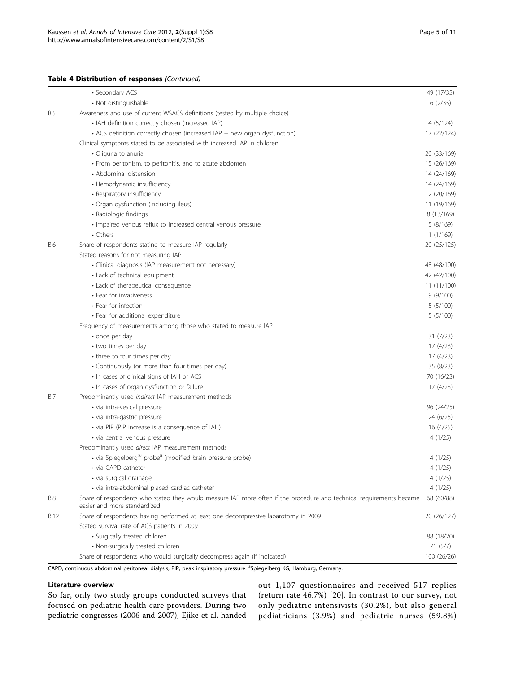#### Table 4 Distribution of responses (Continued)

|            | • Secondary ACS                                                                                                                                      | 49 (17/35)  |
|------------|------------------------------------------------------------------------------------------------------------------------------------------------------|-------------|
|            | • Not distinguishable                                                                                                                                | 6(2/35)     |
| <b>B.5</b> | Awareness and use of current WSACS definitions (tested by multiple choice)                                                                           |             |
|            | • IAH definition correctly chosen (increased IAP)                                                                                                    | 4(5/124)    |
|            | • ACS definition correctly chosen (increased IAP + new organ dysfunction)                                                                            | 17 (22/124) |
|            | Clinical symptoms stated to be associated with increased IAP in children                                                                             |             |
|            | · Oliguria to anuria                                                                                                                                 | 20 (33/169) |
|            | • From peritonism, to peritonitis, and to acute abdomen                                                                                              | 15 (26/169) |
|            | • Abdominal distension                                                                                                                               | 14 (24/169) |
|            | • Hemodynamic insufficiency                                                                                                                          | 14 (24/169) |
|            | • Respiratory insufficiency                                                                                                                          | 12 (20/169) |
|            | · Organ dysfunction (including ileus)                                                                                                                | 11 (19/169) |
|            | • Radiologic findings                                                                                                                                | 8 (13/169)  |
|            | · Impaired venous reflux to increased central venous pressure                                                                                        | 5 (8/169)   |
|            | • Others                                                                                                                                             | 1(1/169)    |
| B.6        | Share of respondents stating to measure IAP regularly                                                                                                | 20 (25/125) |
|            | Stated reasons for not measuring IAP                                                                                                                 |             |
|            | · Clinical diagnosis (IAP measurement not necessary)                                                                                                 | 48 (48/100) |
|            | • Lack of technical equipment                                                                                                                        | 42 (42/100) |
|            | • Lack of therapeutical consequence                                                                                                                  | 11 (11/100) |
|            | • Fear for invasiveness                                                                                                                              | 9(9/100)    |
|            | • Fear for infection                                                                                                                                 | 5(5/100)    |
|            | • Fear for additional expenditure                                                                                                                    | 5(5/100)    |
|            | Frequency of measurements among those who stated to measure IAP                                                                                      |             |
|            | · once per day                                                                                                                                       | 31(7/23)    |
|            | • two times per day                                                                                                                                  | 17 (4/23)   |
|            | • three to four times per day                                                                                                                        | 17 (4/23)   |
|            | • Continuously (or more than four times per day)                                                                                                     | 35 (8/23)   |
|            | • In cases of clinical signs of IAH or ACS                                                                                                           | 70 (16/23)  |
|            | · In cases of organ dysfunction or failure                                                                                                           | 17 (4/23)   |
| B.7        | Predominantly used indirect IAP measurement methods                                                                                                  |             |
|            | · via intra-vesical pressure                                                                                                                         | 96 (24/25)  |
|            | • via intra-gastric pressure                                                                                                                         | 24 (6/25)   |
|            | • via PIP (PIP increase is a consequence of IAH)                                                                                                     | 16 (4/25)   |
|            | · via central venous pressure                                                                                                                        | 4(1/25)     |
|            | Predominantly used direct IAP measurement methods                                                                                                    |             |
|            | · via Spiegelberg <sup>®</sup> probe <sup>a</sup> (modified brain pressure probe)                                                                    | 4(1/25)     |
|            | • via CAPD catheter                                                                                                                                  | 4(1/25)     |
|            | · via surgical drainage                                                                                                                              | 4(1/25)     |
|            | · via intra-abdominal placed cardiac catheter                                                                                                        | 4(1/25)     |
| <b>B.8</b> | Share of respondents who stated they would measure IAP more often if the procedure and technical requirements became<br>easier and more standardized | 68 (60/88)  |
| B.12       | Share of respondents having performed at least one decompressive laparotomy in 2009                                                                  | 20 (26/127) |
|            | Stated survival rate of ACS patients in 2009                                                                                                         |             |
|            | • Surgically treated children                                                                                                                        | 88 (18/20)  |
|            | • Non-surgically treated children                                                                                                                    | 71 (5/7)    |
|            | Share of respondents who would surgically decompress again (if indicated)                                                                            | 100 (26/26) |

CAPD, continuous abdominal peritoneal dialysis; PIP, peak inspiratory pressure. <sup>a</sup>Spiegelberg KG, Hamburg, Germany.

#### Literature overview

So far, only two study groups conducted surveys that focused on pediatric health care providers. During two pediatric congresses (2006 and 2007), Ejike et al. handed out 1,107 questionnaires and received 517 replies (return rate 46.7%) [\[20](#page-10-0)]. In contrast to our survey, not only pediatric intensivists (30.2%), but also general pediatricians (3.9%) and pediatric nurses (59.8%)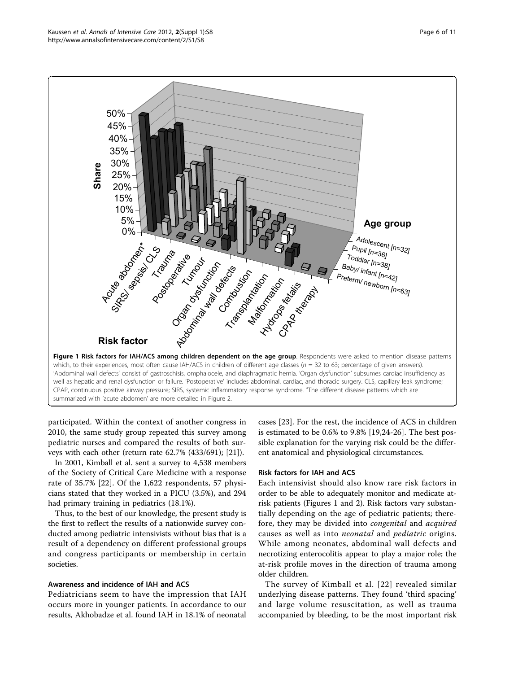<span id="page-5-0"></span>

participated. Within the context of another congress in 2010, the same study group repeated this survey among pediatric nurses and compared the results of both surveys with each other (return rate 62.7% (433/691); [[21](#page-10-0)]).

In 2001, Kimball et al. sent a survey to 4,538 members of the Society of Critical Care Medicine with a response rate of 35.7% [[22](#page-10-0)]. Of the 1,622 respondents, 57 physicians stated that they worked in a PICU (3.5%), and 294 had primary training in pediatrics (18.1%).

Thus, to the best of our knowledge, the present study is the first to reflect the results of a nationwide survey conducted among pediatric intensivists without bias that is a result of a dependency on different professional groups and congress participants or membership in certain societies.

#### Awareness and incidence of IAH and ACS

Pediatricians seem to have the impression that IAH occurs more in younger patients. In accordance to our results, Akhobadze et al. found IAH in 18.1% of neonatal

cases [[23\]](#page-10-0). For the rest, the incidence of ACS in children is estimated to be 0.6% to 9.8% [\[19,24](#page-10-0)-[26\]](#page-10-0). The best possible explanation for the varying risk could be the different anatomical and physiological circumstances.

#### Risk factors for IAH and ACS

Each intensivist should also know rare risk factors in order to be able to adequately monitor and medicate atrisk patients (Figures 1 and [2\)](#page-6-0). Risk factors vary substantially depending on the age of pediatric patients; therefore, they may be divided into congenital and acquired causes as well as into neonatal and pediatric origins. While among neonates, abdominal wall defects and necrotizing enterocolitis appear to play a major role; the at-risk profile moves in the direction of trauma among older children.

The survey of Kimball et al. [[22\]](#page-10-0) revealed similar underlying disease patterns. They found 'third spacing' and large volume resuscitation, as well as trauma accompanied by bleeding, to be the most important risk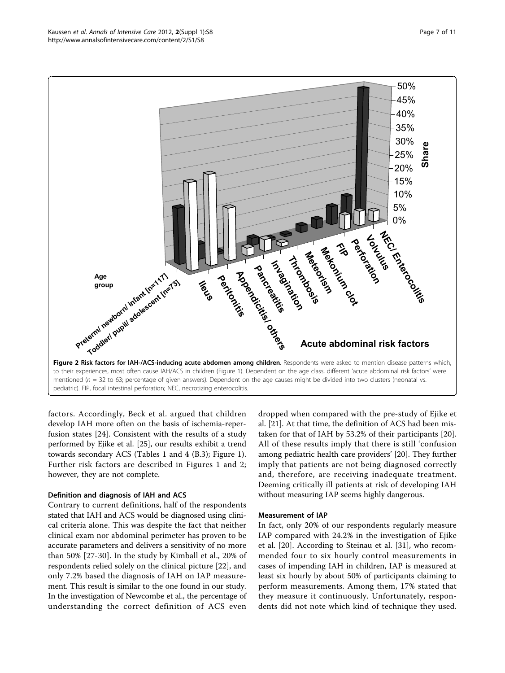<span id="page-6-0"></span>

factors. Accordingly, Beck et al. argued that children develop IAH more often on the basis of ischemia-reperfusion states [[24\]](#page-10-0). Consistent with the results of a study performed by Ejike et al. [[25](#page-10-0)], our results exhibit a trend towards secondary ACS (Tables [1](#page-2-0) and [4](#page-3-0) (B.3); Figure [1](#page-5-0)). Further risk factors are described in Figures [1](#page-5-0) and 2; however, they are not complete.

#### Definition and diagnosis of IAH and ACS

Contrary to current definitions, half of the respondents stated that IAH and ACS would be diagnosed using clinical criteria alone. This was despite the fact that neither clinical exam nor abdominal perimeter has proven to be accurate parameters and delivers a sensitivity of no more than 50% [[27-30\]](#page-10-0). In the study by Kimball et al., 20% of respondents relied solely on the clinical picture [\[22](#page-10-0)], and only 7.2% based the diagnosis of IAH on IAP measurement. This result is similar to the one found in our study. In the investigation of Newcombe et al., the percentage of understanding the correct definition of ACS even

dropped when compared with the pre-study of Ejike et al. [[21](#page-10-0)]. At that time, the definition of ACS had been mistaken for that of IAH by 53.2% of their participants [\[20](#page-10-0)]. All of these results imply that there is still 'confusion among pediatric health care providers' [\[20](#page-10-0)]. They further imply that patients are not being diagnosed correctly and, therefore, are receiving inadequate treatment. Deeming critically ill patients at risk of developing IAH without measuring IAP seems highly dangerous.

#### Measurement of IAP

In fact, only 20% of our respondents regularly measure IAP compared with 24.2% in the investigation of Ejike et al. [[20\]](#page-10-0). According to Steinau et al. [\[31](#page-10-0)], who recommended four to six hourly control measurements in cases of impending IAH in children, IAP is measured at least six hourly by about 50% of participants claiming to perform measurements. Among them, 17% stated that they measure it continuously. Unfortunately, respondents did not note which kind of technique they used.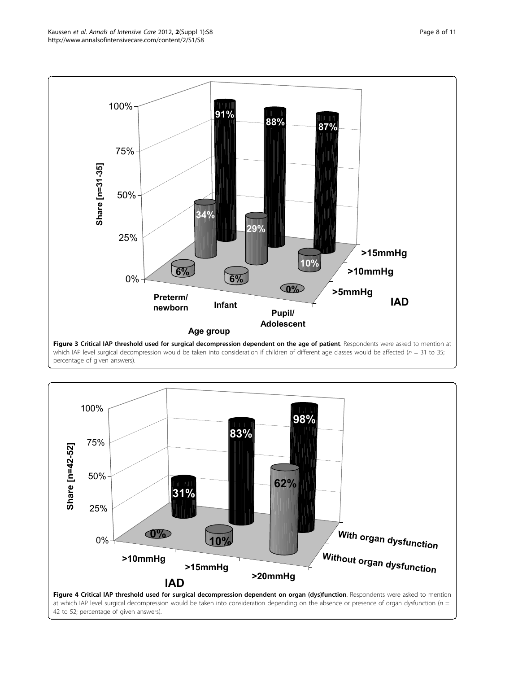<span id="page-7-0"></span>

Figure 3 Critical IAP threshold used for surgical decompression dependent on the age of patient. Respondents were asked to mention at which IAP level surgical decompression would be taken into consideration if children of different age classes would be affected ( $n = 31$  to 35; percentage of given answers).



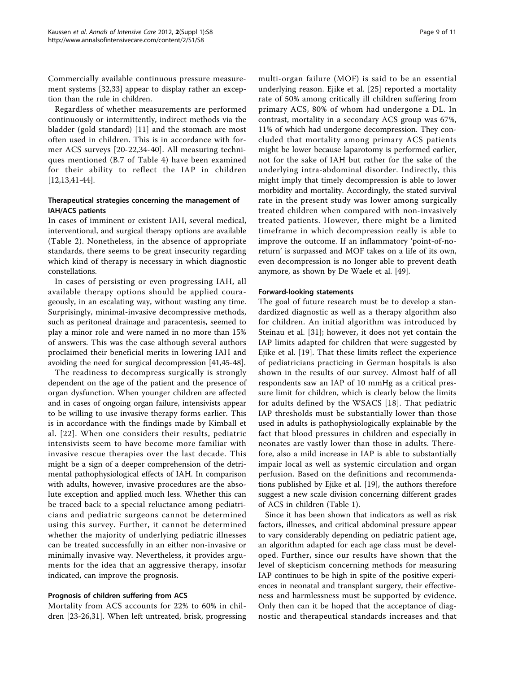Commercially available continuous pressure measurement systems [[32](#page-10-0),[33\]](#page-10-0) appear to display rather an exception than the rule in children.

Regardless of whether measurements are performed continuously or intermittently, indirect methods via the bladder (gold standard) [[11\]](#page-9-0) and the stomach are most often used in children. This is in accordance with former ACS surveys [\[20-22,34](#page-10-0)-[40\]](#page-10-0). All measuring techniques mentioned (B.7 of Table [4](#page-3-0)) have been examined for their ability to reflect the IAP in children [[12,13,41](#page-10-0)-[44\]](#page-10-0).

#### Therapeutical strategies concerning the management of IAH/ACS patients

In cases of imminent or existent IAH, several medical, interventional, and surgical therapy options are available (Table [2](#page-2-0)). Nonetheless, in the absence of appropriate standards, there seems to be great insecurity regarding which kind of therapy is necessary in which diagnostic constellations.

In cases of persisting or even progressing IAH, all available therapy options should be applied courageously, in an escalating way, without wasting any time. Surprisingly, minimal-invasive decompressive methods, such as peritoneal drainage and paracentesis, seemed to play a minor role and were named in no more than 15% of answers. This was the case although several authors proclaimed their beneficial merits in lowering IAH and avoiding the need for surgical decompression [[41,45](#page-10-0)-[48](#page-10-0)].

The readiness to decompress surgically is strongly dependent on the age of the patient and the presence of organ dysfunction. When younger children are affected and in cases of ongoing organ failure, intensivists appear to be willing to use invasive therapy forms earlier. This is in accordance with the findings made by Kimball et al. [[22\]](#page-10-0). When one considers their results, pediatric intensivists seem to have become more familiar with invasive rescue therapies over the last decade. This might be a sign of a deeper comprehension of the detrimental pathophysiological effects of IAH. In comparison with adults, however, invasive procedures are the absolute exception and applied much less. Whether this can be traced back to a special reluctance among pediatricians and pediatric surgeons cannot be determined using this survey. Further, it cannot be determined whether the majority of underlying pediatric illnesses can be treated successfully in an either non-invasive or minimally invasive way. Nevertheless, it provides arguments for the idea that an aggressive therapy, insofar indicated, can improve the prognosis.

#### Prognosis of children suffering from ACS

Mortality from ACS accounts for 22% to 60% in children [\[23](#page-10-0)-[26,31\]](#page-10-0). When left untreated, brisk, progressing multi-organ failure (MOF) is said to be an essential underlying reason. Ejike et al. [[25\]](#page-10-0) reported a mortality rate of 50% among critically ill children suffering from primary ACS, 80% of whom had undergone a DL. In contrast, mortality in a secondary ACS group was 67%, 11% of which had undergone decompression. They concluded that mortality among primary ACS patients might be lower because laparotomy is performed earlier, not for the sake of IAH but rather for the sake of the underlying intra-abdominal disorder. Indirectly, this might imply that timely decompression is able to lower morbidity and mortality. Accordingly, the stated survival rate in the present study was lower among surgically treated children when compared with non-invasively treated patients. However, there might be a limited timeframe in which decompression really is able to improve the outcome. If an inflammatory 'point-of-noreturn' is surpassed and MOF takes on a life of its own, even decompression is no longer able to prevent death anymore, as shown by De Waele et al. [[49\]](#page-10-0).

#### Forward-looking statements

The goal of future research must be to develop a standardized diagnostic as well as a therapy algorithm also for children. An initial algorithm was introduced by Steinau et al. [\[31](#page-10-0)]; however, it does not yet contain the IAP limits adapted for children that were suggested by Ejike et al. [\[19](#page-10-0)]. That these limits reflect the experience of pediatricians practicing in German hospitals is also shown in the results of our survey. Almost half of all respondents saw an IAP of 10 mmHg as a critical pressure limit for children, which is clearly below the limits for adults defined by the WSACS [[18\]](#page-10-0). That pediatric IAP thresholds must be substantially lower than those used in adults is pathophysiologically explainable by the fact that blood pressures in children and especially in neonates are vastly lower than those in adults. Therefore, also a mild increase in IAP is able to substantially impair local as well as systemic circulation and organ perfusion. Based on the definitions and recommendations published by Ejike et al. [\[19\]](#page-10-0), the authors therefore suggest a new scale division concerning different grades of ACS in children (Table [1\)](#page-2-0).

Since it has been shown that indicators as well as risk factors, illnesses, and critical abdominal pressure appear to vary considerably depending on pediatric patient age, an algorithm adapted for each age class must be developed. Further, since our results have shown that the level of skepticism concerning methods for measuring IAP continues to be high in spite of the positive experiences in neonatal and transplant surgery, their effectiveness and harmlessness must be supported by evidence. Only then can it be hoped that the acceptance of diagnostic and therapeutical standards increases and that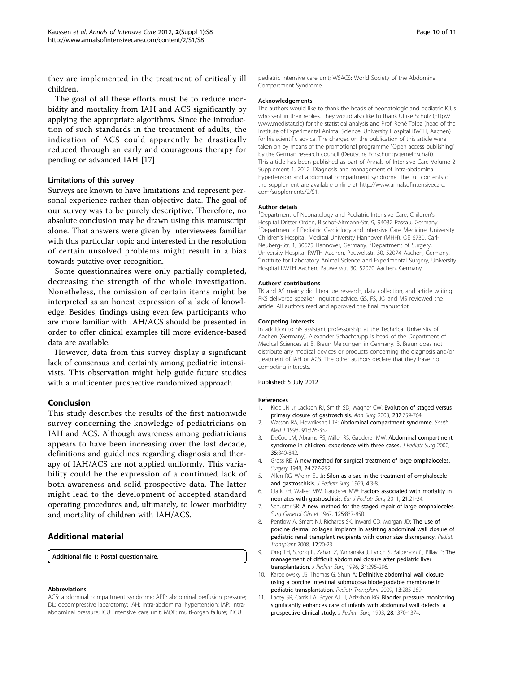<span id="page-9-0"></span>they are implemented in the treatment of critically ill children.

The goal of all these efforts must be to reduce morbidity and mortality from IAH and ACS significantly by applying the appropriate algorithms. Since the introduction of such standards in the treatment of adults, the indication of ACS could apparently be drastically reduced through an early and courageous therapy for pending or advanced IAH [[17\]](#page-10-0).

#### Limitations of this survey

Surveys are known to have limitations and represent personal experience rather than objective data. The goal of our survey was to be purely descriptive. Therefore, no absolute conclusion may be drawn using this manuscript alone. That answers were given by interviewees familiar with this particular topic and interested in the resolution of certain unsolved problems might result in a bias towards putative over-recognition.

Some questionnaires were only partially completed, decreasing the strength of the whole investigation. Nonetheless, the omission of certain items might be interpreted as an honest expression of a lack of knowledge. Besides, findings using even few participants who are more familiar with IAH/ACS should be presented in order to offer clinical examples till more evidence-based data are available.

However, data from this survey display a significant lack of consensus and certainty among pediatric intensivists. This observation might help guide future studies with a multicenter prospective randomized approach.

#### Conclusion

This study describes the results of the first nationwide survey concerning the knowledge of pediatricians on IAH and ACS. Although awareness among pediatricians appears to have been increasing over the last decade, definitions and guidelines regarding diagnosis and therapy of IAH/ACS are not applied uniformly. This variability could be the expression of a continued lack of both awareness and solid prospective data. The latter might lead to the development of accepted standard operating procedures and, ultimately, to lower morbidity and mortality of children with IAH/ACS.

#### Additional material

[Additional file 1: P](http://www.biomedcentral.com/content/supplementary/2110-5820-2-S1-S8-S1.docx)ostal questionnaire.

#### Abbreviations

ACS: abdominal compartment syndrome; APP: abdominal perfusion pressure; DL: decompressive laparotomy; IAH: intra-abdominal hypertension; IAP: intraabdominal pressure; ICU: intensive care unit; MOF: multi-organ failure; PICU:

pediatric intensive care unit; WSACS: World Society of the Abdominal Compartment Syndrome.

#### Acknowledgements

The authors would like to thank the heads of neonatologic and pediatric ICUs who sent in their replies. They would also like to thank Ulrike Schulz ([http://](http://www.medistat.de) [www.medistat.de\)](http://www.medistat.de) for the statistical analysis and Prof. René Tolba (head of the Institute of Experimental Animal Science, University Hospital RWTH, Aachen) for his scientific advice. The charges on the publication of this article were taken on by means of the promotional programme "Open access publishing" by the German research council (Deutsche Forschungsgemeinschaft). This article has been published as part of Annals of Intensive Care Volume 2 Supplement 1, 2012: Diagnosis and management of intra-abdominal hypertension and abdominal compartment syndrome. The full contents of the supplement are available online at [http://www.annalsofintensivecare.](http://www.annalsofintensivecare.com/supplements/2/S1) [com/supplements/2/S1.](http://www.annalsofintensivecare.com/supplements/2/S1)

#### Author details

<sup>1</sup>Department of Neonatology and Pediatric Intensive Care, Children's Hospital Dritter Orden, Bischof-Altmann-Str. 9, 94032 Passau, Germany. <sup>2</sup> Department of Pediatric Cardiology and Intensive Care Medicine, University Children's Hospital, Medical University Hannover (MHH), OE 6730, Carl-Neuberg-Str. 1, 30625 Hannover, Germany. <sup>3</sup>Department of Surgery, University Hospital RWTH Aachen, Pauwelsstr. 30, 52074 Aachen, Germany. <sup>4</sup>Institute for Laboratory Animal Science and Experimental Surgery, University Hospital RWTH Aachen, Pauwelsstr. 30, 52070 Aachen, Germany.

#### Authors' contributions

TK and AS mainly did literature research, data collection, and article writing. PKS delivered speaker linguistic advice. GS, FS, JO and MS reviewed the article. All authors read and approved the final manuscript.

#### Competing interests

In addition to his assistant professorship at the Technical University of Aachen (Germany), Alexander Schachtrupp is head of the Department of Medical Sciences at B. Braun Melsungen in Germany. B. Braun does not distribute any medical devices or products concerning the diagnosis and/or treatment of IAH or ACS. The other authors declare that they have no competing interests.

#### Published: 5 July 2012

#### References

- Kidd JN Jr, Jackson RJ, Smith SD, Wagner CW: [Evolution of staged versus](http://www.ncbi.nlm.nih.gov/pubmed/12796571?dopt=Abstract) [primary closure of gastroschisis.](http://www.ncbi.nlm.nih.gov/pubmed/12796571?dopt=Abstract) Ann Surg 2003, 237:759-764.
- 2. Watson RA, Howdieshell TR: [Abdominal compartment syndrome.](http://www.ncbi.nlm.nih.gov/pubmed/9563421?dopt=Abstract) South Med J 1998, 91:326-332.
- 3. DeCou JM, Abrams RS, Miller RS, Gauderer MW: [Abdominal compartment](http://www.ncbi.nlm.nih.gov/pubmed/10873022?dopt=Abstract) [syndrome in children: experience with three cases.](http://www.ncbi.nlm.nih.gov/pubmed/10873022?dopt=Abstract) J Pediatr Surg 2000, 35:840-842.
- 4. Gross RE: [A new method for surgical treatment of large omphaloceles.](http://www.ncbi.nlm.nih.gov/pubmed/18872858?dopt=Abstract) Surgery 1948, 24:277-292.
- 5. Allen RG, Wrenn EL Jr: [Silon as a sac in the treatment of omphalocele](http://www.ncbi.nlm.nih.gov/pubmed/4238305?dopt=Abstract) [and gastroschisis.](http://www.ncbi.nlm.nih.gov/pubmed/4238305?dopt=Abstract) J Pediatr Surg 1969, 4:3-8.
- 6. Clark RH, Walker MW, Gauderer MW: [Factors associated with mortality in](http://www.ncbi.nlm.nih.gov/pubmed/21328190?dopt=Abstract) [neonates with gastroschisis.](http://www.ncbi.nlm.nih.gov/pubmed/21328190?dopt=Abstract) Eur J Pediatr Surg 2011, 21:21-24.
- 7. Schuster SR: [A new method for the staged repair of large omphaloceles.](http://www.ncbi.nlm.nih.gov/pubmed/4227443?dopt=Abstract) Surg Gynecol Obstet 1967, 125:837-850.
- 8. Pentlow A, Smart NJ, Richards SK, Inward CD, Morgan JD: [The use of](http://www.ncbi.nlm.nih.gov/pubmed/18086240?dopt=Abstract) [porcine dermal collagen implants in assisting abdominal wall closure of](http://www.ncbi.nlm.nih.gov/pubmed/18086240?dopt=Abstract) [pediatric renal transplant recipients with donor size discrepancy.](http://www.ncbi.nlm.nih.gov/pubmed/18086240?dopt=Abstract) Pediatr Transplant 2008, 12:20-23.
- 9. Ong TH, Strong R, Zahari Z, Yamanaka J, Lynch S, Balderson G, Pillay P: [The](http://www.ncbi.nlm.nih.gov/pubmed/8938363?dopt=Abstract) [management of difficult abdominal closure after pediatric liver](http://www.ncbi.nlm.nih.gov/pubmed/8938363?dopt=Abstract) [transplantation.](http://www.ncbi.nlm.nih.gov/pubmed/8938363?dopt=Abstract) J Pediatr Surg 1996, 31:295-296.
- 10. Karpelowsky JS, Thomas G, Shun A: [Definitive abdominal wall closure](http://www.ncbi.nlm.nih.gov/pubmed/19032420?dopt=Abstract) [using a porcine intestinal submucosa biodegradable membrane in](http://www.ncbi.nlm.nih.gov/pubmed/19032420?dopt=Abstract) [pediatric transplantation.](http://www.ncbi.nlm.nih.gov/pubmed/19032420?dopt=Abstract) Pediatr Transplant 2009, 13:285-289.
- 11. Lacey SR, Carris LA, Beyer AJ III, Azizkhan RG: [Bladder pressure monitoring](http://www.ncbi.nlm.nih.gov/pubmed/8263703?dopt=Abstract) [significantly enhances care of infants with abdominal wall defects: a](http://www.ncbi.nlm.nih.gov/pubmed/8263703?dopt=Abstract) [prospective clinical study.](http://www.ncbi.nlm.nih.gov/pubmed/8263703?dopt=Abstract) J Pediatr Surg 1993, 28:1370-1374.